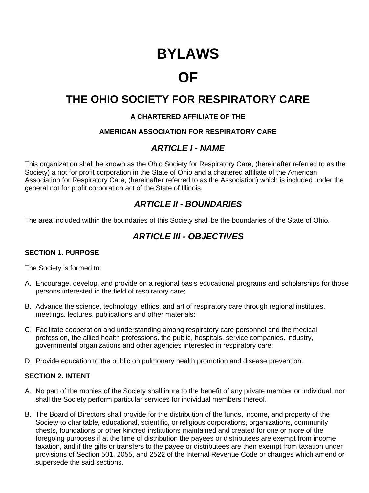# **BYLAWS**

# **OF**

# **THE OHIO SOCIETY FOR RESPIRATORY CARE**

# **A CHARTERED AFFILIATE OF THE**

# **AMERICAN ASSOCIATION FOR RESPIRATORY CARE**

# *ARTICLE I - NAME*

This organization shall be known as the Ohio Society for Respiratory Care, (hereinafter referred to as the Society) a not for profit corporation in the State of Ohio and a chartered affiliate of the American Association for Respiratory Care, (hereinafter referred to as the Association) which is included under the general not for profit corporation act of the State of Illinois.

# *ARTICLE II - BOUNDARIES*

The area included within the boundaries of this Society shall be the boundaries of the State of Ohio.

# *ARTICLE III - OBJECTIVES*

# **SECTION 1. PURPOSE**

The Society is formed to:

- A. Encourage, develop, and provide on a regional basis educational programs and scholarships for those persons interested in the field of respiratory care;
- B. Advance the science, technology, ethics, and art of respiratory care through regional institutes, meetings, lectures, publications and other materials;
- C. Facilitate cooperation and understanding among respiratory care personnel and the medical profession, the allied health professions, the public, hospitals, service companies, industry, governmental organizations and other agencies interested in respiratory care;
- D. Provide education to the public on pulmonary health promotion and disease prevention.

# **SECTION 2. INTENT**

- A. No part of the monies of the Society shall inure to the benefit of any private member or individual, nor shall the Society perform particular services for individual members thereof.
- B. The Board of Directors shall provide for the distribution of the funds, income, and property of the Society to charitable, educational, scientific, or religious corporations, organizations, community chests, foundations or other kindred institutions maintained and created for one or more of the foregoing purposes if at the time of distribution the payees or distributees are exempt from income taxation, and if the gifts or transfers to the payee or distributees are then exempt from taxation under provisions of Section 501, 2055, and 2522 of the Internal Revenue Code or changes which amend or supersede the said sections.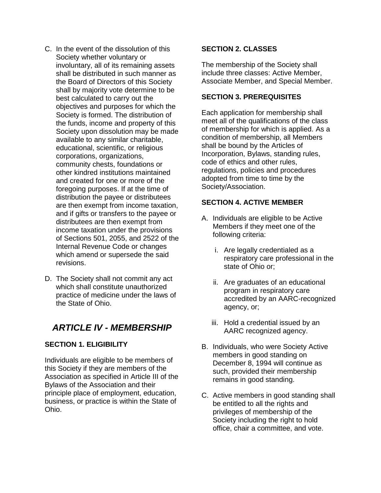- C. In the event of the dissolution of this Society whether voluntary or involuntary, all of its remaining assets shall be distributed in such manner as the Board of Directors of this Society shall by majority vote determine to be best calculated to carry out the objectives and purposes for which the Society is formed. The distribution of the funds, income and property of this Society upon dissolution may be made available to any similar charitable, educational, scientific, or religious corporations, organizations, community chests, foundations or other kindred institutions maintained and created for one or more of the foregoing purposes. If at the time of distribution the payee or distributees are then exempt from income taxation, and if gifts or transfers to the payee or distributees are then exempt from income taxation under the provisions of Sections 501, 2055, and 2522 of the Internal Revenue Code or changes which amend or supersede the said revisions.
- D. The Society shall not commit any act which shall constitute unauthorized practice of medicine under the laws of the State of Ohio.

# *ARTICLE IV - MEMBERSHIP*

## **SECTION 1. ELIGIBILITY**

Individuals are eligible to be members of this Society if they are members of the Association as specified in Article III of the Bylaws of the Association and their principle place of employment, education, business, or practice is within the State of Ohio.

#### **SECTION 2. CLASSES**

The membership of the Society shall include three classes: Active Member, Associate Member, and Special Member.

#### **SECTION 3. PREREQUISITES**

Each application for membership shall meet all of the qualifications of the class of membership for which is applied. As a condition of membership, all Members shall be bound by the Articles of Incorporation, Bylaws, standing rules, code of ethics and other rules, regulations, policies and procedures adopted from time to time by the Society/Association.

#### **SECTION 4. ACTIVE MEMBER**

- A. Individuals are eligible to be Active Members if they meet one of the following criteria:
	- i. Are legally credentialed as a respiratory care professional in the state of Ohio or;
	- ii. Are graduates of an educational program in respiratory care accredited by an AARC-recognized agency, or;
	- iii. Hold a credential issued by an AARC recognized agency.
- B. Individuals, who were Society Active members in good standing on December 8, 1994 will continue as such, provided their membership remains in good standing.
- C. Active members in good standing shall be entitled to all the rights and privileges of membership of the Society including the right to hold office, chair a committee, and vote.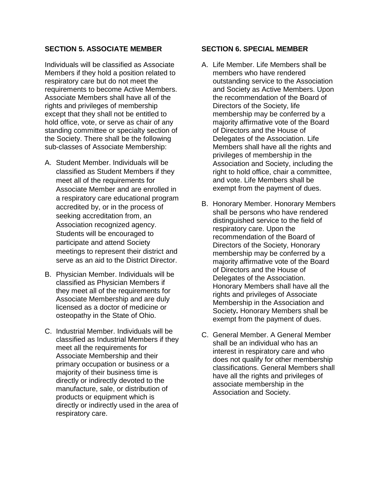#### **SECTION 5. ASSOCIATE MEMBER**

Individuals will be classified as Associate Members if they hold a position related to respiratory care but do not meet the requirements to become Active Members. Associate Members shall have all of the rights and privileges of membership except that they shall not be entitled to hold office, vote, or serve as chair of any standing committee or specialty section of the Society. There shall be the following sub-classes of Associate Membership:

- A. Student Member. Individuals will be classified as Student Members if they meet all of the requirements for Associate Member and are enrolled in a respiratory care educational program accredited by, or in the process of seeking accreditation from, an Association recognized agency. Students will be encouraged to participate and attend Society meetings to represent their district and serve as an aid to the District Director.
- B. Physician Member. Individuals will be classified as Physician Members if they meet all of the requirements for Associate Membership and are duly licensed as a doctor of medicine or osteopathy in the State of Ohio.
- C. Industrial Member. Individuals will be classified as Industrial Members if they meet all the requirements for Associate Membership and their primary occupation or business or a majority of their business time is directly or indirectly devoted to the manufacture, sale, or distribution of products or equipment which is directly or indirectly used in the area of respiratory care.

#### **SECTION 6. SPECIAL MEMBER**

- A. Life Member. Life Members shall be members who have rendered outstanding service to the Association and Society as Active Members. Upon the recommendation of the Board of Directors of the Society, life membership may be conferred by a majority affirmative vote of the Board of Directors and the House of Delegates of the Association. Life Members shall have all the rights and privileges of membership in the Association and Society, including the right to hold office, chair a committee, and vote. Life Members shall be exempt from the payment of dues.
- B. Honorary Member. Honorary Members shall be persons who have rendered distinguished service to the field of respiratory care. Upon the recommendation of the Board of Directors of the Society, Honorary membership may be conferred by a majority affirmative vote of the Board of Directors and the House of Delegates of the Association. Honorary Members shall have all the rights and privileges of Associate Membership in the Association and Society**.** Honorary Members shall be exempt from the payment of dues.
- C. General Member. A General Member shall be an individual who has an interest in respiratory care and who does not qualify for other membership classifications. General Members shall have all the rights and privileges of associate membership in the Association and Society.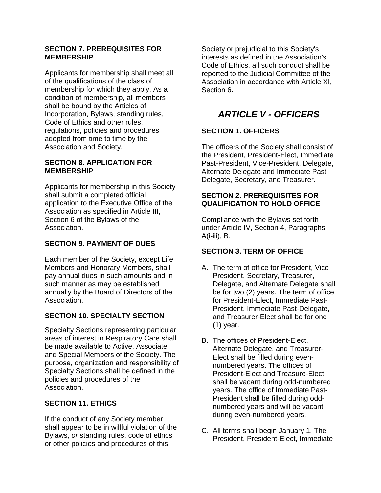#### **SECTION 7. PREREQUISITES FOR MEMBERSHIP**

Applicants for membership shall meet all of the qualifications of the class of membership for which they apply. As a condition of membership, all members shall be bound by the Articles of Incorporation, Bylaws, standing rules, Code of Ethics and other rules, regulations, policies and procedures adopted from time to time by the Association and Society.

#### **SECTION 8. APPLICATION FOR MEMBERSHIP**

Applicants for membership in this Society shall submit a completed official application to the Executive Office of the Association as specified in Article III, Section 6 of the Bylaws of the Association.

# **SECTION 9. PAYMENT OF DUES**

Each member of the Society, except Life Members and Honorary Members, shall pay annual dues in such amounts and in such manner as may be established annually by the Board of Directors of the Association.

# **SECTION 10. SPECIALTY SECTION**

Specialty Sections representing particular areas of interest in Respiratory Care shall be made available to Active, Associate and Special Members of the Society. The purpose, organization and responsibility of Specialty Sections shall be defined in the policies and procedures of the Association.

# **SECTION 11. ETHICS**

If the conduct of any Society member shall appear to be in willful violation of the Bylaws, *or* standing rules, code of ethics or other policies and procedures of this

Society or prejudicial to this Society's interests as defined in the Association's Code of Ethics, all such conduct shall be reported to the Judicial Committee of the Association in accordance with Article XI, Section 6**.** 

# *ARTICLE V - OFFICERS*

# **SECTION 1. OFFICERS**

The officers of the Society shall consist of the President, President-Elect, Immediate Past-President, Vice-President, Delegate, Alternate Delegate and Immediate Past Delegate, Secretary, and Treasurer.

## **SECTION 2. PREREQUISITES FOR QUALIFICATION TO HOLD OFFICE**

Compliance with the Bylaws set forth under Article IV, Section 4, Paragraphs A(i-iii), B.

# **SECTION 3. TERM OF OFFICE**

- A. The term of office for President, Vice President, Secretary, Treasurer, Delegate, and Alternate Delegate shall be for two (2) years. The term of office for President-Elect, Immediate Past-President, Immediate Past-Delegate, and Treasurer-Elect shall be for one (1) year.
- B. The offices of President-Elect, Alternate Delegate, and Treasurer-Elect shall be filled during evennumbered years. The offices of President-Elect and Treasure-Elect shall be vacant during odd-numbered years. The office of Immediate Past-President shall be filled during oddnumbered years and will be vacant during even-numbered years.
- C. All terms shall begin January 1. The President, President-Elect, Immediate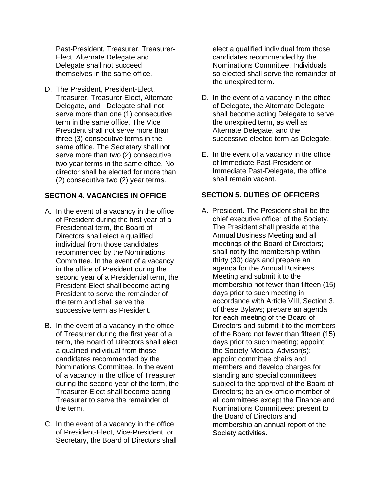Past-President, Treasurer, Treasurer-Elect, Alternate Delegate and Delegate shall not succeed themselves in the same office.

D. The President, President-Elect, Treasurer, Treasurer-Elect, Alternate Delegate, and Delegate shall not serve more than one (1) consecutive term in the same office. The Vice President shall not serve more than three (3) consecutive terms in the same office. The Secretary shall not serve more than two (2) consecutive two year terms in the same office. No director shall be elected for more than (2) consecutive two (2) year terms.

## **SECTION 4. VACANCIES IN OFFICE**

- A. In the event of a vacancy in the office of President during the first year of a Presidential term, the Board of Directors shall elect a qualified individual from those candidates recommended by the Nominations Committee. In the event of a vacancy in the office of President during the second year of a Presidential term, the President-Elect shall become acting President to serve the remainder of the term and shall serve the successive term as President.
- B. In the event of a vacancy in the office of Treasurer during the first year of a term, the Board of Directors shall elect a qualified individual from those candidates recommended by the Nominations Committee. In the event of a vacancy in the office of Treasurer during the second year of the term, the Treasurer-Elect shall become acting Treasurer to serve the remainder of the term.
- C. In the event of a vacancy in the office of President-Elect, Vice-President, or Secretary, the Board of Directors shall

elect a qualified individual from those candidates recommended by the Nominations Committee. Individuals so elected shall serve the remainder of the unexpired term.

- D. In the event of a vacancy in the office of Delegate, the Alternate Delegate shall become acting Delegate to serve the unexpired term, as well as Alternate Delegate, and the successive elected term as Delegate.
- E. In the event of a vacancy in the office of Immediate Past-President or Immediate Past-Delegate, the office shall remain vacant.

## **SECTION 5. DUTIES OF OFFICERS**

A. President. The President shall be the chief executive officer of the Society. The President shall preside at the Annual Business Meeting and all meetings of the Board of Directors; shall notify the membership within thirty (30) days and prepare an agenda for the Annual Business Meeting and submit it to the membership not fewer than fifteen (15) days prior to such meeting in accordance with Article VIII, Section 3, of these Bylaws; prepare an agenda for each meeting of the Board of Directors and submit it to the members of the Board not fewer than fifteen (15) days prior to such meeting; appoint the Society Medical Advisor(s); appoint committee chairs and members and develop charges for standing and special committees subject to the approval of the Board of Directors; be an ex-officio member of all committees except the Finance and Nominations Committees; present to the Board of Directors and membership an annual report of the Society activities.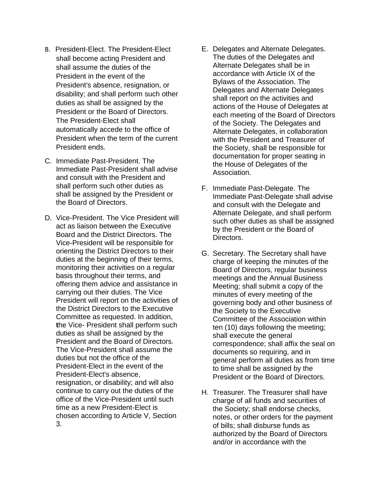- B. President-Elect. The President-Elect shall become acting President and shall assume the duties of the President in the event of the President's absence, resignation, or disability; and shall perform such other duties as shall be assigned by the President or the Board of Directors. The President-Elect shall automatically accede to the office of President when the term of the current President ends.
- C. Immediate Past-President. The Immediate Past-President shall advise and consult with the President and shall perform such other duties as shall be assigned by the President or the Board of Directors.
- D. Vice-President. The Vice President will act as liaison between the Executive Board and the District Directors. The Vice-President will be responsible for orienting the District Directors to their duties at the beginning of their terms, monitoring their activities on a regular basis throughout their terms, and offering them advice and assistance in carrying out their duties. The Vice President will report on the activities of the District Directors to the Executive Committee as requested. In addition, **t**he Vice- President shall perform such duties as shall be assigned by the President and the Board of Directors. The Vice-President shall assume the duties but not the office of the President-Elect in the event of the President-Elect's absence, resignation, or disability; and will also continue to carry out the duties of the office of the Vice-President until such time as a new President-Elect is chosen according to Article V, Section 3.
- E. Delegates and Alternate Delegates. The duties of the Delegates and Alternate Delegates shall be in accordance with Article IX of the Bylaws of the Association. The Delegates and Alternate Delegates shall report on the activities and actions of the House of Delegates at each meeting of the Board of Directors of the Society. The Delegates and Alternate Delegates, in collaboration with the President and Treasurer of the Society, shall be responsible for documentation for proper seating in the House of Delegates of the Association.
- F. Immediate Past-Delegate. The Immediate Past-Delegate shall advise and consult with the Delegate and Alternate Delegate, and shall perform such other duties as shall be assigned by the President or the Board of Directors.
- G. Secretary. The Secretary shall have charge of keeping the minutes of the Board of Directors, regular business meetings and the Annual Business Meeting; shall submit a copy of the minutes of every meeting of the governing body and other business of the Society to the Executive Committee of the Association within ten (10) days following the meeting; shall execute the general correspondence; shall affix the seal on documents so requiring, and in general perform all duties as from time to time shall be assigned by the President or the Board of Directors.
- H. Treasurer. The Treasurer shall have charge of all funds and securities of the Society; shall endorse checks, notes, or other orders for the payment of bills; shall disburse funds as authorized by the Board of Directors and/or in accordance with the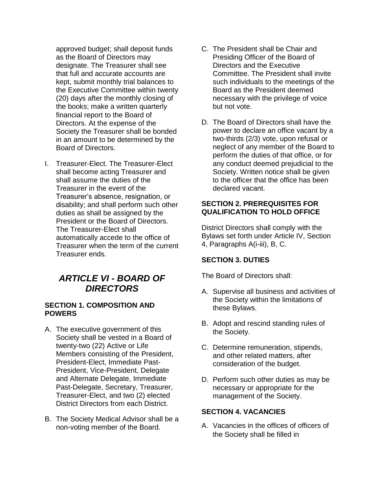approved budget; shall deposit funds as the Board of Directors may designate. The Treasurer shall see that full and accurate accounts are kept, submit monthly trial balances to the Executive Committee within twenty (20) days after the monthly closing of the books; make a written quarterly financial report to the Board of Directors. At the expense of the Society the Treasurer shall be bonded in an amount to be determined by the Board of Directors.

I. Treasurer-Elect. The Treasurer-Elect shall become acting Treasurer and shall assume the duties of the Treasurer in the event of the Treasurer's absence, resignation, or disability; and shall perform such other duties as shall be assigned by the President or the Board of Directors. The Treasurer-Elect shall automatically accede to the office of Treasurer when the term of the current Treasurer ends.

# *ARTICLE VI - BOARD OF DIRECTORS*

#### **SECTION 1. COMPOSITION AND POWERS**

- A. The executive government of this Society shall be vested in a Board of twenty-two (22) Active or Life Members consisting of the President, President-Elect, Immediate Past-President, Vice-President, Delegate and Alternate Delegate, Immediate Past-Delegate, Secretary, Treasurer, Treasurer-Elect, and two (2) elected District Directors from each District.
- B. The Society Medical Advisor shall be a non-voting member of the Board.
- C. The President shall be Chair and Presiding Officer of the Board of Directors and the Executive Committee. The President shall invite such individuals to the meetings of the Board as the President deemed necessary with the privilege of voice but not vote.
- D. The Board of Directors shall have the power to declare an office vacant by a two-thirds (2/3) vote, upon refusal or neglect of any member of the Board to perform the duties of that office, or for any conduct deemed prejudicial to the Society. Written notice shall be given to the officer that the office has been declared vacant.

#### **SECTION 2. PREREQUISITES FOR QUALIFICATION TO HOLD OFFICE**

District Directors shall comply with the Bylaws set forth under Article IV, Section 4, Paragraphs A(i-iii), B, C.

# **SECTION 3. DUTIES**

The Board of Directors shall:

- A. Supervise all business and activities of the Society within the limitations of these Bylaws.
- B. Adopt and rescind standing rules of the Society.
- C. Determine remuneration, stipends, and other related matters, after consideration of the budget.
- D. Perform such other duties as may be necessary or appropriate for the management of the Society.

#### **SECTION 4. VACANCIES**

A. Vacancies in the offices of officers of the Society shall be filled in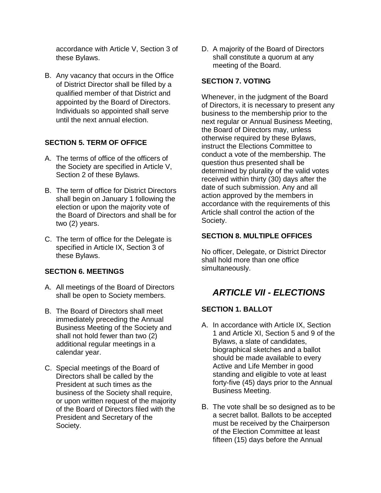accordance with Article V, Section 3 of these Bylaws.

B. Any vacancy that occurs in the Office of District Director shall be filled by a qualified member of that District and appointed by the Board of Directors. Individuals so appointed shall serve until the next annual election.

# **SECTION 5. TERM OF OFFICE**

- A. The terms of office of the officers of the Society are specified in Article V, Section 2 of these Bylaws.
- B. The term of office for District Directors shall begin on January 1 following the election or upon the majority vote of the Board of Directors and shall be for two (2) years.
- C. The term of office for the Delegate is specified in Article IX, Section 3 of these Bylaws.

## **SECTION 6. MEETINGS**

- A. All meetings of the Board of Directors shall be open to Society members.
- B. The Board of Directors shall meet immediately preceding the Annual Business Meeting of the Society and shall not hold fewer than two (2) additional regular meetings in a calendar year.
- C. Special meetings of the Board of Directors shall be called by the President at such times as the business of the Society shall require, or upon written request of the majority of the Board of Directors filed with the President and Secretary of the Society.

D. A majority of the Board of Directors shall constitute a quorum at any meeting of the Board.

#### **SECTION 7. VOTING**

Whenever, in the judgment of the Board of Directors, it is necessary to present any business to the membership prior to the next regular or Annual Business Meeting, the Board of Directors may, unless otherwise required by these Bylaws, instruct the Elections Committee to conduct a vote of the membership. The question thus presented shall be determined by plurality of the valid votes received within thirty (30) days after the date of such submission. Any and all action approved by the members in accordance with the requirements of this Article shall control the action of the Society.

#### **SECTION 8. MULTIPLE OFFICES**

No officer, Delegate, or District Director shall hold more than one office simultaneously.

# *ARTICLE VII - ELECTIONS*

## **SECTION 1. BALLOT**

- A. In accordance with Article IX, Section 1 and Article XI, Section 5 and 9 of the Bylaws, a slate of candidates, biographical sketches and a ballot should be made available to every Active and Life Member in good standing and eligible to vote at least forty-five (45) days prior to the Annual Business Meeting.
- B. The vote shall be so designed as to be a secret ballot. Ballots to be accepted must be received by the Chairperson of the Election Committee at least fifteen (15) days before the Annual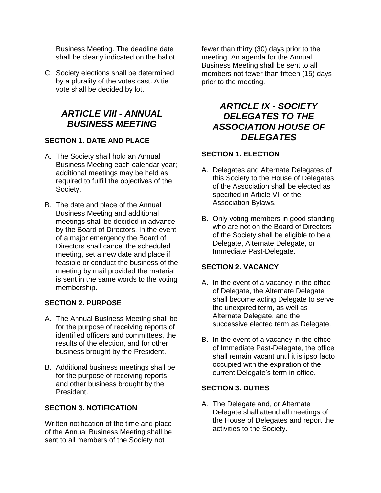Business Meeting. The deadline date shall be clearly indicated on the ballot.

C. Society elections shall be determined by a plurality of the votes cast. A tie vote shall be decided by lot.

# *ARTICLE VIII - ANNUAL BUSINESS MEETING*

# **SECTION 1. DATE AND PLACE**

- A. The Society shall hold an Annual Business Meeting each calendar year; additional meetings may be held as required to fulfill the objectives of the Society.
- B. The date and place of the Annual Business Meeting and additional meetings shall be decided in advance by the Board of Directors. In the event of a major emergency the Board of Directors shall cancel the scheduled meeting, set a new date and place if feasible or conduct the business of the meeting by mail provided the material is sent in the same words to the voting membership.

## **SECTION 2. PURPOSE**

- A. The Annual Business Meeting shall be for the purpose of receiving reports of identified officers and committees, the results of the election, and for other business brought by the President.
- B. Additional business meetings shall be for the purpose of receiving reports and other business brought by the President.

## **SECTION 3. NOTIFICATION**

Written notification of the time and place of the Annual Business Meeting shall be sent to all members of the Society not

fewer than thirty (30) days prior to the meeting. An agenda for the Annual Business Meeting shall be sent to all members not fewer than fifteen (15) days prior to the meeting.

# *ARTICLE IX - SOCIETY DELEGATES TO THE ASSOCIATION HOUSE OF DELEGATES*

# **SECTION 1. ELECTION**

- A. Delegates and Alternate Delegates of this Society to the House of Delegates of the Association shall be elected as specified in Article VII of the Association Bylaws.
- B. Only voting members in good standing who are not on the Board of Directors of the Society shall be eligible to be a Delegate, Alternate Delegate, or Immediate Past-Delegate.

## **SECTION 2. VACANCY**

- A. In the event of a vacancy in the office of Delegate, the Alternate Delegate shall become acting Delegate to serve the unexpired term, as well as Alternate Delegate, and the successive elected term as Delegate.
- B. In the event of a vacancy in the office of Immediate Past-Delegate, the office shall remain vacant until it is ipso facto occupied with the expiration of the current Delegate's term in office.

## **SECTION 3. DUTIES**

A. The Delegate and, or Alternate Delegate shall attend all meetings of the House of Delegates and report the activities to the Society.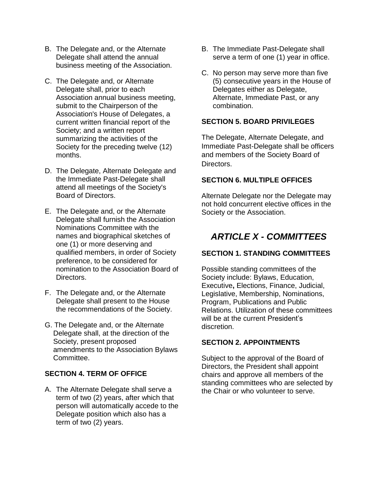- B. The Delegate and, or the Alternate Delegate shall attend the annual business meeting of the Association.
- C. The Delegate and, or Alternate Delegate shall, prior to each Association annual business meeting, submit to the Chairperson of the Association's House of Delegates, a current written financial report of the Society; and a written report summarizing the activities of the Society for the preceding twelve (12) months.
- D. The Delegate, Alternate Delegate and the Immediate Past-Delegate shall attend all meetings of the Society's Board of Directors.
- E. The Delegate and, or the Alternate Delegate shall furnish the Association Nominations Committee with the names and biographical sketches of one (1) or more deserving and qualified members, in order of Society preference, to be considered for nomination to the Association Board of Directors.
- F. The Delegate and, or the Alternate Delegate shall present to the House the recommendations of the Society.
- G. The Delegate and, or the Alternate Delegate shall, at the direction of the Society, present proposed amendments to the Association Bylaws Committee.

## **SECTION 4. TERM OF OFFICE**

A. The Alternate Delegate shall serve a term of two (2) years, after which that person will automatically accede to the Delegate position which also has a term of two (2) years.

- B. The Immediate Past-Delegate shall serve a term of one (1) year in office.
- C. No person may serve more than five (5) consecutive years in the House of Delegates either as Delegate, Alternate, Immediate Past, or any combination.

#### **SECTION 5. BOARD PRIVILEGES**

The Delegate, Alternate Delegate, and Immediate Past-Delegate shall be officers and members of the Society Board of Directors.

#### **SECTION 6. MULTIPLE OFFICES**

Alternate Delegate nor the Delegate may not hold concurrent elective offices in the Society or the Association.

# *ARTICLE X - COMMITTEES*

#### **SECTION 1. STANDING COMMITTEES**

Possible standing committees of the Society include: Bylaws, Education, Executive**,** Elections, Finance, Judicial, Legislative, Membership, Nominations, Program, Publications and Public Relations. Utilization of these committees will be at the current President's discretion.

#### **SECTION 2. APPOINTMENTS**

Subject to the approval of the Board of Directors, the President shall appoint chairs and approve all members of the standing committees who are selected by the Chair or who volunteer to serve.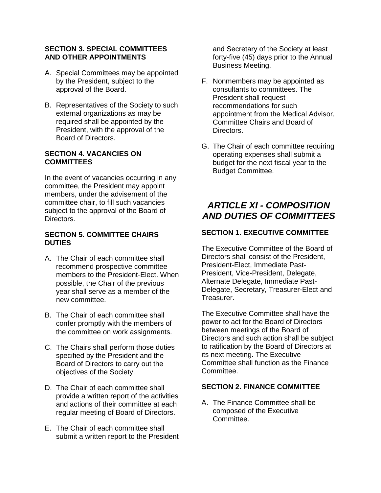#### **SECTION 3. SPECIAL COMMITTEES AND OTHER APPOINTMENTS**

- A. Special Committees may be appointed by the President, subject to the approval of the Board.
- B. Representatives of the Society to such external organizations as may be required shall be appointed by the President, with the approval of the Board of Directors.

#### **SECTION 4. VACANCIES ON COMMITTEES**

In the event of vacancies occurring in any committee, the President may appoint members, under the advisement of the committee chair, to fill such vacancies subject to the approval of the Board of Directors.

#### **SECTION 5. COMMITTEE CHAIRS DUTIES**

- A. The Chair of each committee shall recommend prospective committee members to the President-Elect. When possible, the Chair of the previous year shall serve as a member of the new committee.
- B. The Chair of each committee shall confer promptly with the members of the committee on work assignments.
- C. The Chairs shall perform those duties specified by the President and the Board of Directors to carry out the objectives of the Society.
- D. The Chair of each committee shall provide a written report of the activities and actions of their committee at each regular meeting of Board of Directors.
- E. The Chair of each committee shall submit a written report to the President

and Secretary of the Society at least forty-five (45) days prior to the Annual Business Meeting.

- F. Nonmembers may be appointed as consultants to committees. The President shall request recommendations for such appointment from the Medical Advisor, Committee Chairs and Board of Directors.
- G. The Chair of each committee requiring operating expenses shall submit a budget for the next fiscal year to the Budget Committee.

# *ARTICLE XI - COMPOSITION AND DUTIES OF COMMITTEES*

# **SECTION 1. EXECUTIVE COMMITTEE**

The Executive Committee of the Board of Directors shall consist of the President, President-Elect, Immediate Past-President, Vice-President, Delegate, Alternate Delegate, Immediate Past-Delegate, Secretary, Treasurer-Elect and Treasurer.

The Executive Committee shall have the power to act for the Board of Directors between meetings of the Board of Directors and such action shall be subject to ratification by the Board of Directors at its next meeting. The Executive Committee shall function as the Finance Committee.

## **SECTION 2. FINANCE COMMITTEE**

A. The Finance Committee shall be composed of the Executive Committee.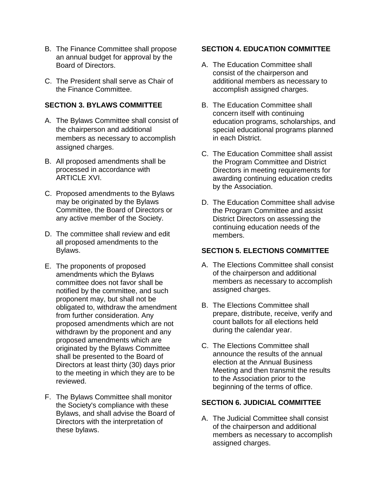- B. The Finance Committee shall propose an annual budget for approval by the Board of Directors.
- C. The President shall serve as Chair of the Finance Committee.

#### **SECTION 3. BYLAWS COMMITTEE**

- A. The Bylaws Committee shall consist of the chairperson and additional members as necessary to accomplish assigned charges.
- B. All proposed amendments shall be processed in accordance with ARTICLE XVI.
- C. Proposed amendments to the Bylaws may be originated by the Bylaws Committee, the Board of Directors or any active member of the Society.
- D. The committee shall review and edit all proposed amendments to the Bylaws.
- E. The proponents of proposed amendments which the Bylaws committee does not favor shall be notified by the committee, and such proponent may, but shall not be obligated to, withdraw the amendment from further consideration. Any proposed amendments which are not withdrawn by the proponent and any proposed amendments which are originated by the Bylaws Committee shall be presented to the Board of Directors at least thirty (30) days prior to the meeting in which they are to be reviewed.
- F. The Bylaws Committee shall monitor the Society's compliance with these Bylaws, and shall advise the Board of Directors with the interpretation of these bylaws.

#### **SECTION 4. EDUCATION COMMITTEE**

- A. The Education Committee shall consist of the chairperson and additional members as necessary to accomplish assigned charges.
- B. The Education Committee shall concern itself with continuing education programs, scholarships, and special educational programs planned in each District.
- C. The Education Committee shall assist the Program Committee and District Directors in meeting requirements for awarding continuing education credits by the Association.
- D. The Education Committee shall advise the Program Committee and assist District Directors on assessing the continuing education needs of the members.

## **SECTION 5. ELECTIONS COMMITTEE**

- A. The Elections Committee shall consist of the chairperson and additional members as necessary to accomplish assigned charges.
- B. The Elections Committee shall prepare, distribute, receive, verify and count ballots for all elections held during the calendar year.
- C. The Elections Committee shall announce the results of the annual election at the Annual Business Meeting and then transmit the results to the Association prior to the beginning of the terms of office.

## **SECTION 6. JUDICIAL COMMITTEE**

A. The Judicial Committee shall consist of the chairperson and additional members as necessary to accomplish assigned charges.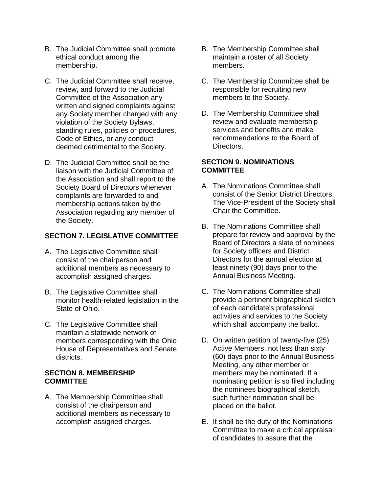- B. The Judicial Committee shall promote ethical conduct among the membership.
- C. The Judicial Committee shall receive, review, and forward to the Judicial Committee of the Association any written and signed complaints against any Society member charged with any violation of the Society Bylaws, standing rules, policies or procedures, Code of Ethics, or any conduct deemed detrimental to the Society.
- D. The Judicial Committee shall be the liaison with the Judicial Committee of the Association and shall report to the Society Board of Directors whenever complaints are forwarded to and membership actions taken by the Association regarding any member of the Society.

## **SECTION 7. LEGISLATIVE COMMITTEE**

- A. The Legislative Committee shall consist of the chairperson and additional members as necessary to accomplish assigned charges.
- B. The Legislative Committee shall monitor health-related legislation in the State of Ohio.
- C. The Legislative Committee shall maintain a statewide network of members corresponding with the Ohio House of Representatives and Senate districts.

#### **SECTION 8. MEMBERSHIP COMMITTEE**

A. The Membership Committee shall consist of the chairperson and additional members as necessary to accomplish assigned charges.

- B. The Membership Committee shall maintain a roster of all Society members.
- C. The Membership Committee shall be responsible for recruiting new members to the Society.
- D. The Membership Committee shall review and evaluate membership services and benefits and make recommendations to the Board of Directors.

#### **SECTION 9. NOMINATIONS COMMITTEE**

- A. The Nominations Committee shall consist of the Senior District Directors. The Vice-President of the Society shall Chair the Committee.
- B. The Nominations Committee shall prepare for review and approval by the Board of Directors a slate of nominees for Society officers and District Directors for the annual election at least ninety (90) days prior to the Annual Business Meeting.
- C. The Nominations Committee shall provide a pertinent biographical sketch of each candidate's professional activities and services to the Society which shall accompany the ballot.
- D. On written petition of twenty-five (25) Active Members, not less than sixty (60) days prior to the Annual Business Meeting, any other member or members may be nominated. If a nominating petition is so filed including the nominees biographical sketch, such further nomination shall be placed on the ballot.
- E. It shall be the duty of the Nominations Committee to make a critical appraisal of candidates to assure that the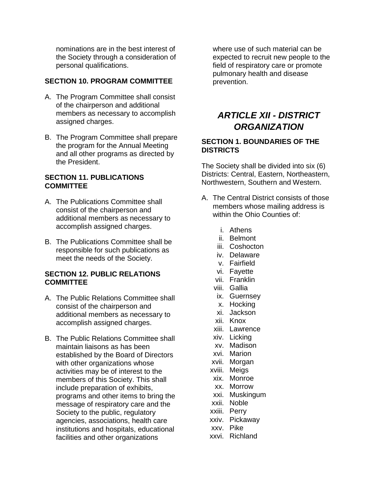nominations are in the best interest of the Society through a consideration of personal qualifications.

#### **SECTION 10. PROGRAM COMMITTEE**

- A. The Program Committee shall consist of the chairperson and additional members as necessary to accomplish assigned charges.
- B. The Program Committee shall prepare the program for the Annual Meeting and all other programs as directed by the President.

#### **SECTION 11. PUBLICATIONS COMMITTEE**

- A. The Publications Committee shall consist of the chairperson and additional members as necessary to accomplish assigned charges.
- B. The Publications Committee shall be responsible for such publications as meet the needs of the Society.

#### **SECTION 12. PUBLIC RELATIONS COMMITTEE**

- A. The Public Relations Committee shall consist of the chairperson and additional members as necessary to accomplish assigned charges.
- B. The Public Relations Committee shall maintain liaisons as has been established by the Board of Directors with other organizations whose activities may be of interest to the members of this Society. This shall include preparation of exhibits, programs and other items to bring the message of respiratory care and the Society to the public, regulatory agencies, associations, health care institutions and hospitals, educational facilities and other organizations

where use of such material can be expected to recruit new people to the field of respiratory care or promote pulmonary health and disease prevention.

# *ARTICLE XII - DISTRICT ORGANIZATION*

#### **SECTION 1. BOUNDARIES OF THE DISTRICTS**

The Society shall be divided into six (6) Districts: Central, Eastern, Northeastern, Northwestern, Southern and Western.

- A. The Central District consists of those members whose mailing address is within the Ohio Counties of:
	- i. Athens
	- ii. Belmont
	- iii. Coshocton
	- iv. Delaware
	- v. Fairfield
	- vi. Fayette
	- vii. Franklin
	- viii. Gallia
	- ix. Guernsey
	- x. Hocking
	- xi. Jackson
	- xii. Knox
	- xiii. Lawrence
	- xiv. Licking
	- xv. Madison
	- xvi. Marion
	- xvii. Morgan
	- xviii. Meigs
	- xix. Monroe
	- xx. Morrow
	- xxi. Muskingum
	- xxii. Noble
	- xxiii. Perry
	- xxiv. Pickaway
	- xxv. Pike
	- xxvi. Richland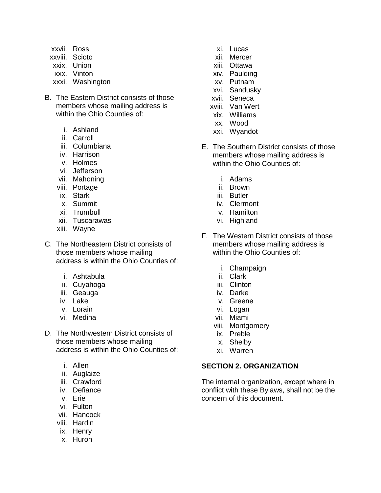- xxvii. Ross
- xxviii. Scioto
- xxix. Union
- xxx. Vinton
- xxxi. Washington
- B. The Eastern District consists of those members whose mailing address is within the Ohio Counties of:
	- i. Ashland
	- ii. Carroll
	- iii. Columbiana
	- iv. Harrison
	- v. Holmes
	- vi. Jefferson
	- vii. Mahoning
	- viii. Portage
	- ix. Stark
	- x. Summit
	- xi. Trumbull
	- xii. Tuscarawas
	- xiii. Wayne
- C. The Northeastern District consists of those members whose mailing address is within the Ohio Counties of:
	- i. Ashtabula
	- ii. Cuyahoga
	- iii. Geauga
	- iv. Lake
	- v. Lorain
	- vi. Medina
- D. The Northwestern District consists of those members whose mailing address is within the Ohio Counties of:
	- i. Allen
	- ii. Auglaize
	- iii. Crawford
	- iv. Defiance
	- v. Erie
	- vi. Fulton
	- vii. Hancock
	- viii. Hardin
	- ix. Henry
	- x. Huron
- xi. Lucas
- xii. Mercer
- xiii. Ottawa
- xiv. Paulding
- xv. Putnam
- xvi. Sandusky
- xvii. Seneca
- xviii. Van Wert
- xix. Williams
- xx. Wood
- xxi. Wyandot
- E. The Southern District consists of those members whose mailing address is within the Ohio Counties of:
	- i. Adams
	- ii. Brown
	- iii. Butler
	- iv. Clermont
	- v. Hamilton
	- vi. Highland
- F. The Western District consists of those members whose mailing address is within the Ohio Counties of:
	- i. Champaign
	- ii. Clark
	- iii. Clinton
	- iv. Darke
	- v. Greene
	- vi. Logan
	- vii. Miami
	- viii. Montgomery
	- ix. Preble
	- x. Shelby
	- xi. Warren

#### **SECTION 2. ORGANIZATION**

The internal organization, except where in conflict with these Bylaws, shall not be the concern of this document.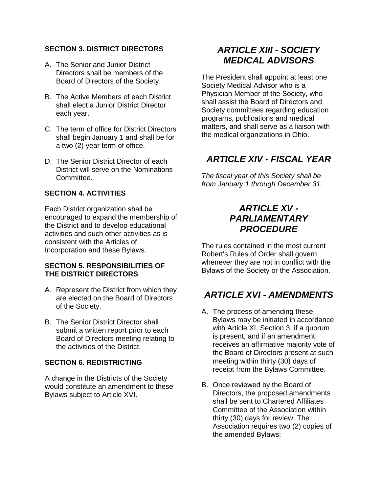## **SECTION 3. DISTRICT DIRECTORS**

- A. The Senior and Junior District Directors shall be members of the Board of Directors of the Society.
- B. The Active Members of each District shall elect a Junior District Director each year.
- C. The term of office for District Directors shall begin January 1 and shall be for a two (2) year term of office.
- D. The Senior District Director of each District will serve on the Nominations Committee.

# **SECTION 4. ACTIVITIES**

Each District organization shall be encouraged to expand the membership of the District and to develop educational activities and such other activities as is consistent with the Articles of Incorporation and these Bylaws.

#### **SECTION 5. RESPONSIBILITIES OF THE DISTRICT DIRECTORS**

- A. Represent the District from which they are elected on the Board of Directors of the Society.
- B. The Senior District Director shall submit a written report prior to each Board of Directors meeting relating to the activities of the District.

## **SECTION 6. REDISTRICTING**

A change in the Districts of the Society would constitute an amendment to these Bylaws subject to Article XVI.

# *ARTICLE XIII - SOCIETY MEDICAL ADVISORS*

The President shall appoint at least one Society Medical Advisor who is a Physician Member of the Society, who shall assist the Board of Directors and Society committees regarding education programs, publications and medical matters, and shall serve as a liaison with the medical organizations in Ohio.

# *ARTICLE XIV - FISCAL YEAR*

*The fiscal year of this Society shall be from January 1 through December 31.* 

# *ARTICLE XV - PARLIAMENTARY PROCEDURE*

The rules contained in the most current Robert's Rules of Order shall govern whenever they are not in conflict with the Bylaws of the Society or the Association.

# *ARTICLE XVI - AMENDMENTS*

- A. The process of amending these Bylaws may be initiated in accordance with Article XI, Section 3, if a quorum is present, and if an amendment receives an affirmative majority vote of the Board of Directors present at such meeting within thirty (30) days of receipt from the Bylaws Committee.
- B. Once reviewed by the Board of Directors, the proposed amendments shall be sent to Chartered Affiliates Committee of the Association within thirty (30) days for review. The Association requires two (2) copies of the amended Bylaws: